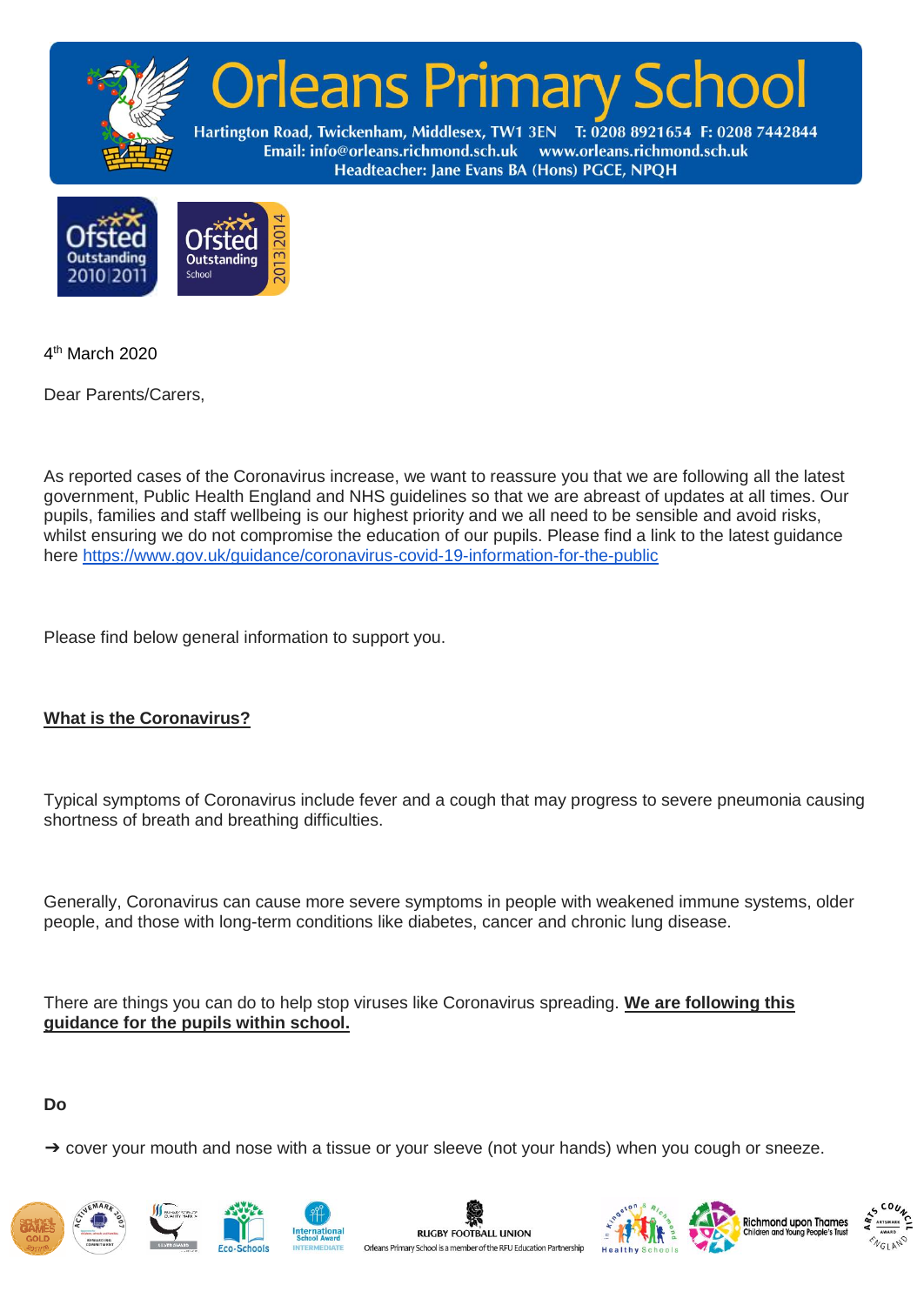



4 th March 2020

Dear Parents/Carers,

As reported cases of the Coronavirus increase, we want to reassure you that we are following all the latest government, Public Health England and NHS guidelines so that we are abreast of updates at all times. Our pupils, families and staff wellbeing is our highest priority and we all need to be sensible and avoid risks, whilst ensuring we do not compromise the education of our pupils. Please find a link to the latest guidance here <https://www.gov.uk/guidance/coronavirus-covid-19-information-for-the-public>

Please find below general information to support you.

# **What is the Coronavirus?**

Typical symptoms of Coronavirus include fever and a cough that may progress to severe pneumonia causing shortness of breath and breathing difficulties.

Generally, Coronavirus can cause more severe symptoms in people with weakened immune systems, older people, and those with long-term conditions like diabetes, cancer and chronic lung disease.

There are things you can do to help stop viruses like Coronavirus spreading. **We are following this guidance for the pupils within school.**

## **Do**

→ cover your mouth and nose with a tissue or your sleeve (not your hands) when you cough or sneeze.











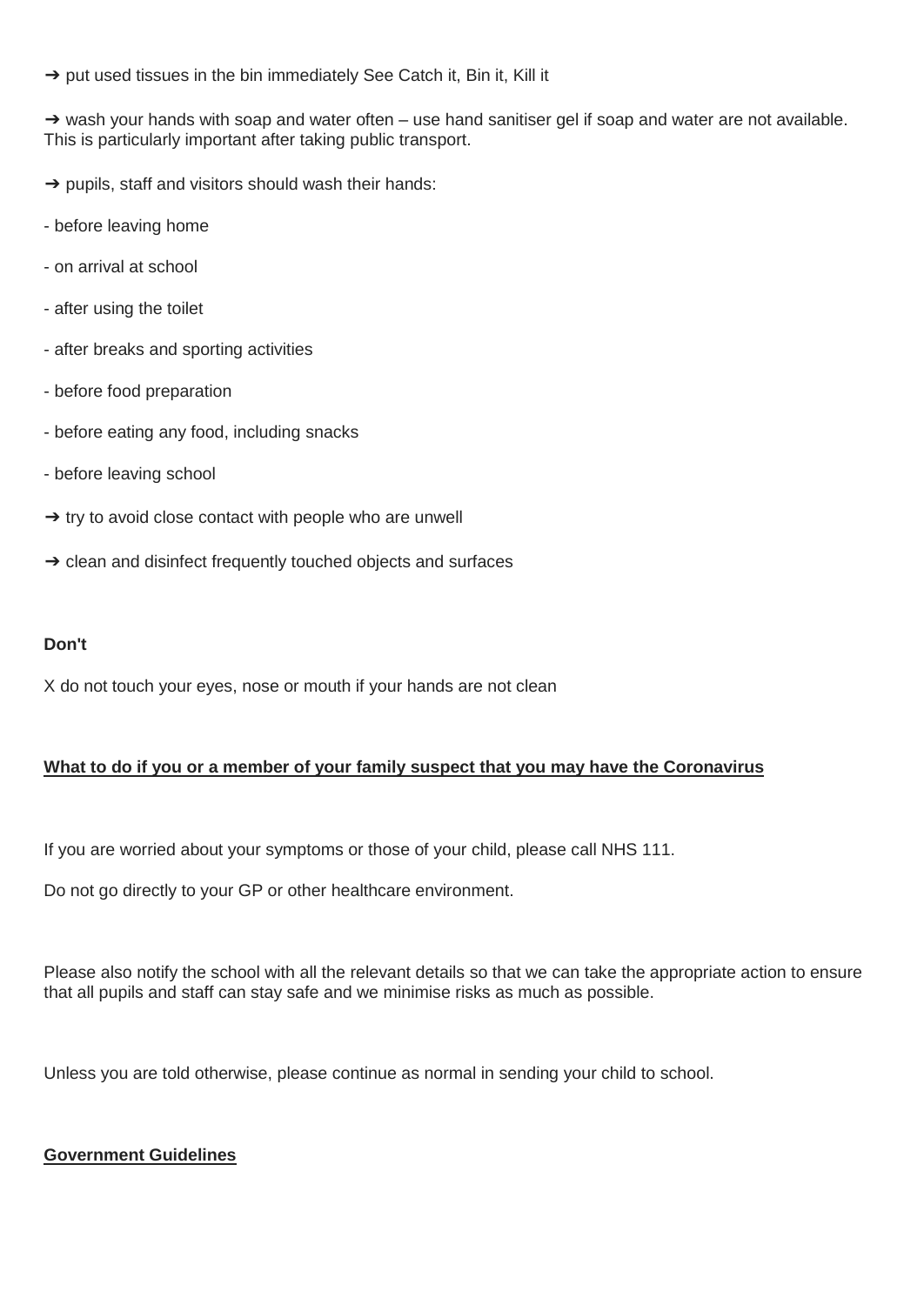→ put used tissues in the bin immediately See Catch it, Bin it, Kill it

→ wash your hands with soap and water often – use hand sanitiser gel if soap and water are not available. This is particularly important after taking public transport.

- $\rightarrow$  pupils, staff and visitors should wash their hands:
- before leaving home
- on arrival at school
- after using the toilet
- after breaks and sporting activities
- before food preparation
- before eating any food, including snacks
- before leaving school
- $\rightarrow$  try to avoid close contact with people who are unwell
- → clean and disinfect frequently touched objects and surfaces

#### **Don't**

X do not touch your eyes, nose or mouth if your hands are not clean

## **What to do if you or a member of your family suspect that you may have the Coronavirus**

If you are worried about your symptoms or those of your child, please call NHS 111.

Do not go directly to your GP or other healthcare environment.

Please also notify the school with all the relevant details so that we can take the appropriate action to ensure that all pupils and staff can stay safe and we minimise risks as much as possible.

Unless you are told otherwise, please continue as normal in sending your child to school.

#### **Government Guidelines**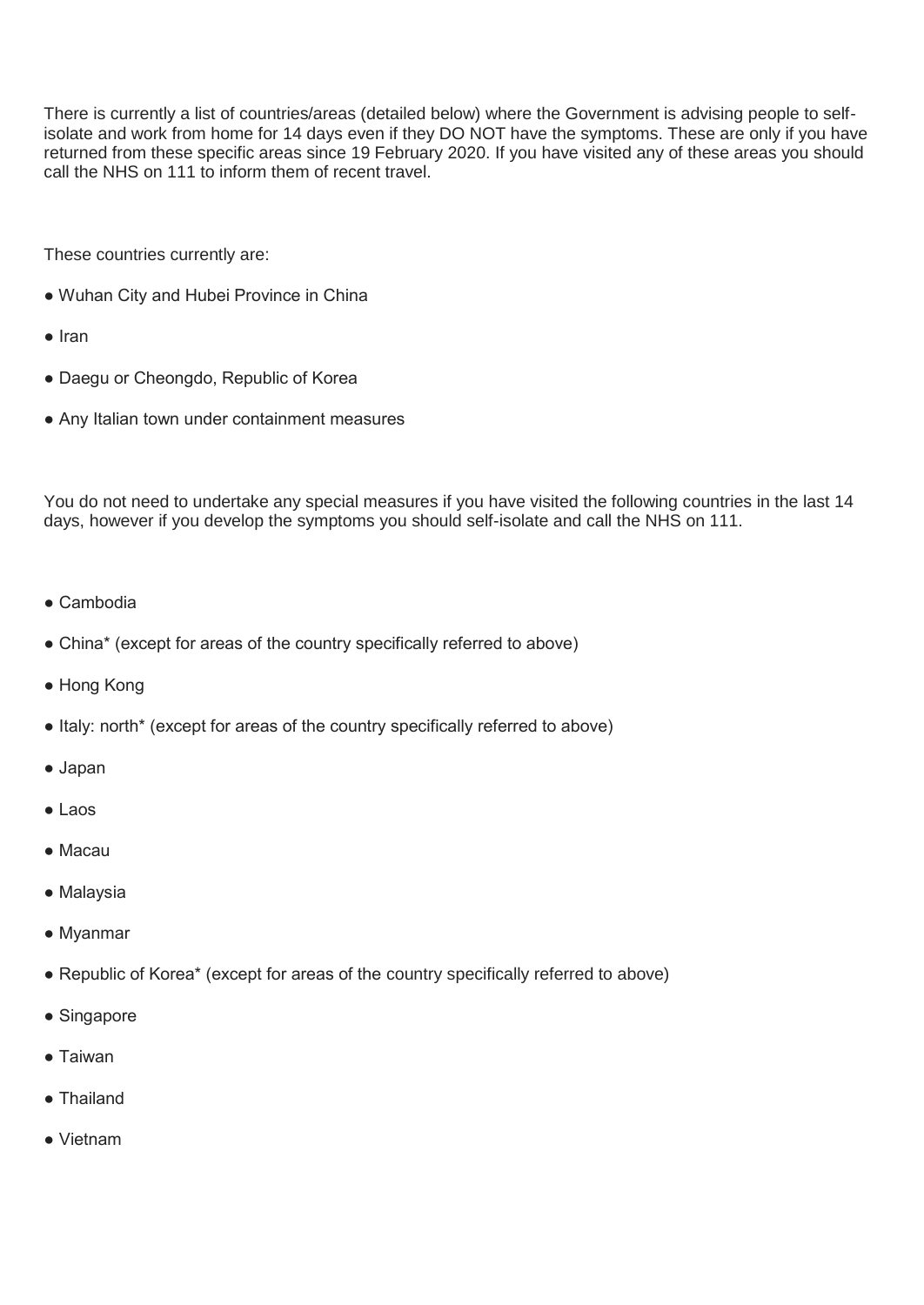There is currently a list of countries/areas (detailed below) where the Government is advising people to selfisolate and work from home for 14 days even if they DO NOT have the symptoms. These are only if you have returned from these specific areas since 19 February 2020. If you have visited any of these areas you should call the NHS on 111 to inform them of recent travel.

These countries currently are:

- Wuhan City and Hubei Province in China
- Iran
- Daegu or Cheongdo, Republic of Korea
- Any Italian town under containment measures

You do not need to undertake any special measures if you have visited the following countries in the last 14 days, however if you develop the symptoms you should self-isolate and call the NHS on 111.

- Cambodia
- China\* (except for areas of the country specifically referred to above)
- Hong Kong
- Italy: north\* (except for areas of the country specifically referred to above)
- Japan
- Laos
- Macau
- Malaysia
- Myanmar
- Republic of Korea\* (except for areas of the country specifically referred to above)
- Singapore
- Taiwan
- Thailand
- Vietnam